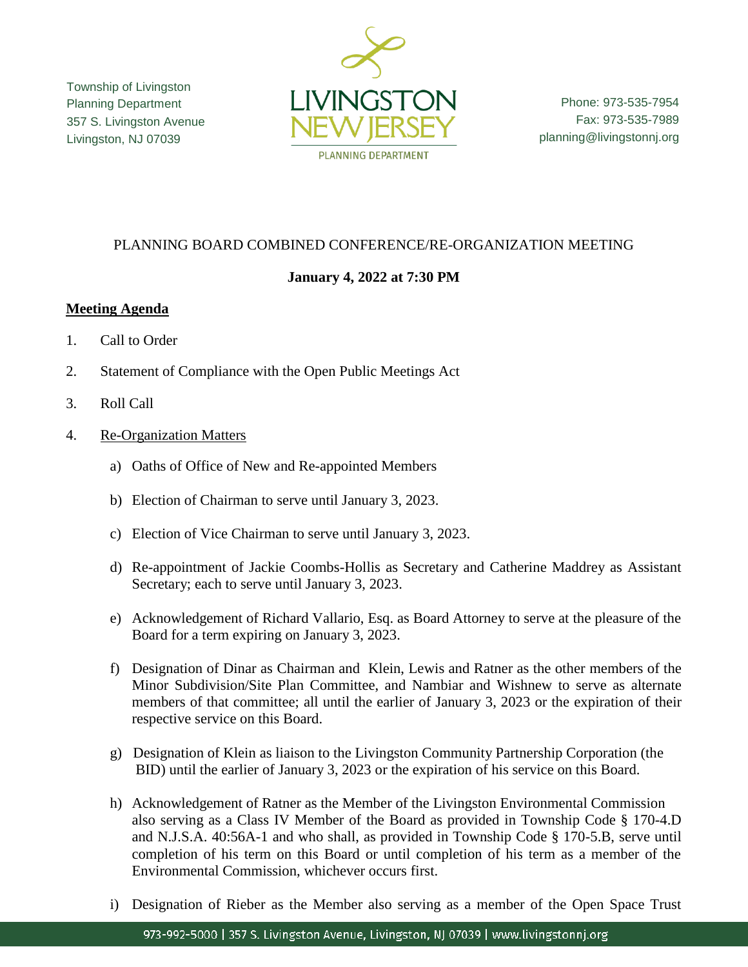Township of Livingston Planning Department 357 S. Livingston Avenue Livingston, NJ 07039



Phone: 973-535-7954 Fax: 973-535-7989 planning@livingstonnj.org

### PLANNING BOARD COMBINED CONFERENCE/RE-ORGANIZATION MEETING

# **January 4, 2022 at 7:30 PM**

### **Meeting Agenda**

- 1. Call to Order
- 2. Statement of Compliance with the Open Public Meetings Act
- 3. Roll Call
- 4. Re-Organization Matters
	- a) Oaths of Office of New and Re-appointed Members
	- b) Election of Chairman to serve until January 3, 2023.
	- c) Election of Vice Chairman to serve until January 3, 2023.
	- d) Re-appointment of Jackie Coombs-Hollis as Secretary and Catherine Maddrey as Assistant Secretary; each to serve until January 3, 2023.
	- e) Acknowledgement of Richard Vallario, Esq. as Board Attorney to serve at the pleasure of the Board for a term expiring on January 3, 2023.
	- f) Designation of Dinar as Chairman and Klein, Lewis and Ratner as the other members of the Minor Subdivision/Site Plan Committee, and Nambiar and Wishnew to serve as alternate members of that committee; all until the earlier of January 3, 2023 or the expiration of their respective service on this Board.
	- g) Designation of Klein as liaison to the Livingston Community Partnership Corporation (the BID) until the earlier of January 3, 2023 or the expiration of his service on this Board.
	- h) Acknowledgement of Ratner as the Member of the Livingston Environmental Commission also serving as a Class IV Member of the Board as provided in Township Code § 170-4.D and N.J.S.A. 40:56A-1 and who shall, as provided in Township Code § 170-5.B, serve until completion of his term on this Board or until completion of his term as a member of the Environmental Commission, whichever occurs first.
	- i) Designation of Rieber as the Member also serving as a member of the Open Space Trust